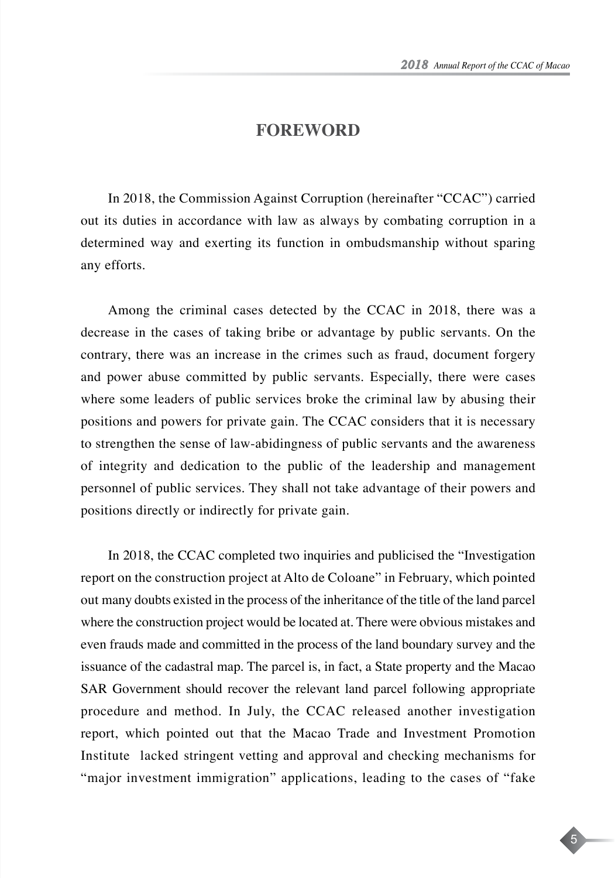5

## **FOREWORD**

In 2018, the Commission Against Corruption (hereinafter "CCAC") carried out its duties in accordance with law as always by combating corruption in a determined way and exerting its function in ombudsmanship without sparing any efforts.

Among the criminal cases detected by the CCAC in 2018, there was a decrease in the cases of taking bribe or advantage by public servants. On the contrary, there was an increase in the crimes such as fraud, document forgery and power abuse committed by public servants. Especially, there were cases where some leaders of public services broke the criminal law by abusing their positions and powers for private gain. The CCAC considers that it is necessary to strengthen the sense of law-abidingness of public servants and the awareness of integrity and dedication to the public of the leadership and management personnel of public services. They shall not take advantage of their powers and positions directly or indirectly for private gain.

In 2018, the CCAC completed two inquiries and publicised the "Investigation report on the construction project at Alto de Coloane" in February, which pointed out many doubts existed in the process of the inheritance of the title of the land parcel where the construction project would be located at. There were obvious mistakes and even frauds made and committed in the process of the land boundary survey and the issuance of the cadastral map. The parcel is, in fact, a State property and the Macao SAR Government should recover the relevant land parcel following appropriate procedure and method. In July, the CCAC released another investigation report, which pointed out that the Macao Trade and Investment Promotion Institute lacked stringent vetting and approval and checking mechanisms for "major investment immigration" applications, leading to the cases of "fake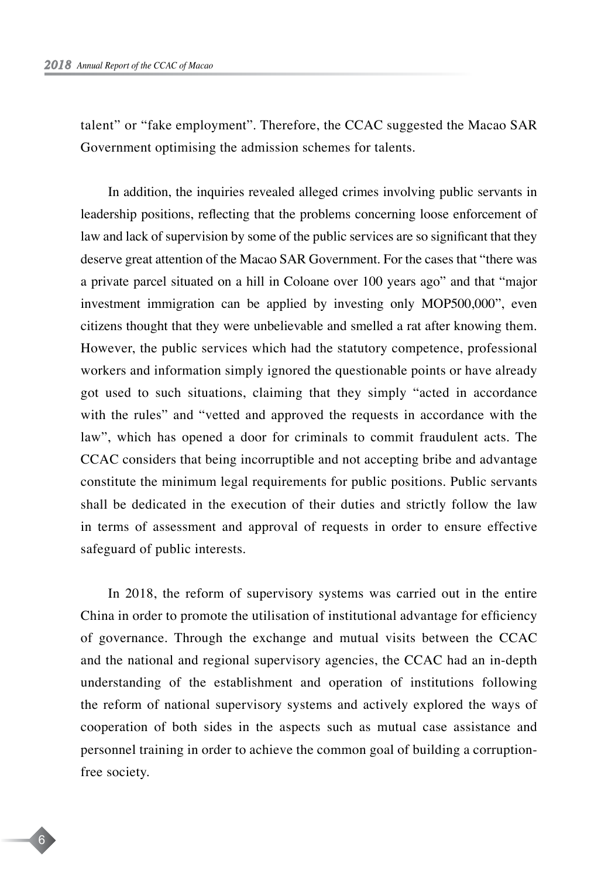talent" or "fake employment". Therefore, the CCAC suggested the Macao SAR Government optimising the admission schemes for talents.

In addition, the inquiries revealed alleged crimes involving public servants in leadership positions, reflecting that the problems concerning loose enforcement of law and lack of supervision by some of the public services are so significant that they deserve great attention of the Macao SAR Government. For the cases that "there was a private parcel situated on a hill in Coloane over 100 years ago" and that "major investment immigration can be applied by investing only MOP500,000", even citizens thought that they were unbelievable and smelled a rat after knowing them. However, the public services which had the statutory competence, professional workers and information simply ignored the questionable points or have already got used to such situations, claiming that they simply "acted in accordance with the rules" and "vetted and approved the requests in accordance with the law", which has opened a door for criminals to commit fraudulent acts. The CCAC considers that being incorruptible and not accepting bribe and advantage constitute the minimum legal requirements for public positions. Public servants shall be dedicated in the execution of their duties and strictly follow the law in terms of assessment and approval of requests in order to ensure effective safeguard of public interests.

In 2018, the reform of supervisory systems was carried out in the entire China in order to promote the utilisation of institutional advantage for efficiency of governance. Through the exchange and mutual visits between the CCAC and the national and regional supervisory agencies, the CCAC had an in-depth understanding of the establishment and operation of institutions following the reform of national supervisory systems and actively explored the ways of cooperation of both sides in the aspects such as mutual case assistance and personnel training in order to achieve the common goal of building a corruptionfree society.